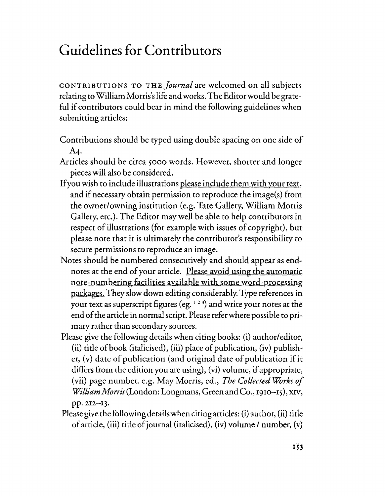## **Guidelines for Contributors**

CONTRIBUTIONS TO THE *Journal* are welcomed on all subjects relating toWilliam Morris'slife andworks.The Editorwould be grateful if contributors could bear in mind the following guidelines when submitting articles:

- Contributions should be typed using double spacing on one side of A4.
- Articles should be circa 5000 words. However, shorter and longer pieces will also be considered.
- Ifyou wish to include illustrations please include them with your text, and if necessary obtain permission to reproduce the image(s) from the owner/owning institution (e.g. Tate Gallery, William Morris Gallery, etc.). The Editor may well be able to help contributors in respect of illustrations (for example with issues of copyright), but please note that it is ultimately the contributor's responsibility to secure permissions to reproduce an image.
- Notes should be numbered consecutively and should appear as end~ notes at the end of your article. Please avoid using the automatic note-numbering facilities available with some word-processing packages. They slow down editing considerably. Type references in your text as superscript figures (eg.  $123$ ) and write your notes at the end of the article in normal script. Please refer where possible to primary rather than secondary sources.
- Please give the following details when citing books: (i) author/editor, (ii) title of book (italicised), (iii) place of publication, (iv) publisher, (v) date of publication (and original date of publication if it differs from the edition you are using), (vi) volume, if appropriate, (vii) page number. e.g. May Morris, ed., *The Collected Works of William Morris* (London: Longmans, Green and Co., 1910–15), XIV, pp. 212-13.
- Please give the following detailswhen citing articles: (i) author, (ii) title ofarticle, (iii) title ofjournal (italicised), (iv) volume I number, (v)